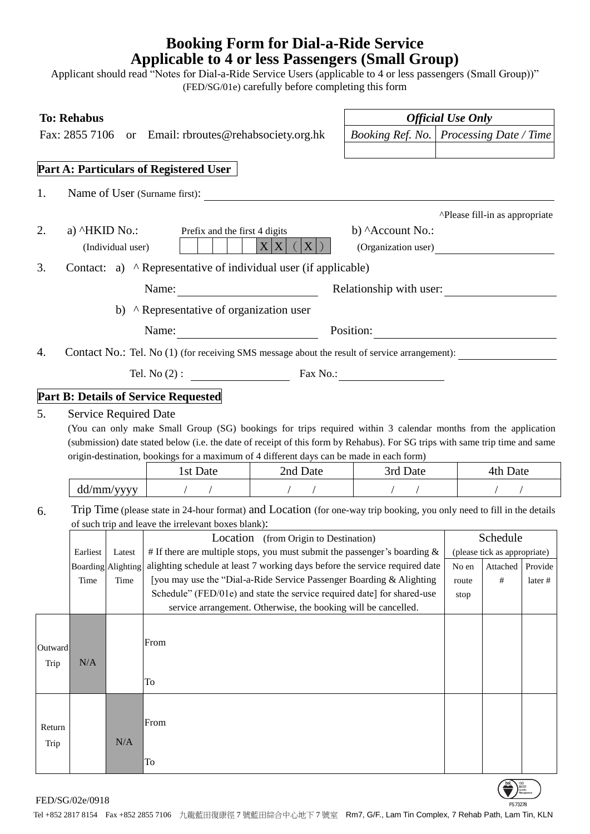## **Booking Form for Dial-a-Ride Service Applicable to 4 or less Passengers (Small Group)**

Applicant should read "Notes for Dial-a-Ride Service Users (applicable to 4 or less passengers (Small Group))" (FED/SG/01e) carefully before completing this form

| <b>To: Rehabus</b> |                                                                                                                                                                                                                                   |                              |                                                                                                                                                                                                                                                                                                                                           |                                           | <b>Official Use Only</b> |               |                                          |         |  |  |  |
|--------------------|-----------------------------------------------------------------------------------------------------------------------------------------------------------------------------------------------------------------------------------|------------------------------|-------------------------------------------------------------------------------------------------------------------------------------------------------------------------------------------------------------------------------------------------------------------------------------------------------------------------------------------|-------------------------------------------|--------------------------|---------------|------------------------------------------|---------|--|--|--|
|                    |                                                                                                                                                                                                                                   |                              | Fax: 2855 7106 or Email: rbroutes@rehabsociety.org.hk                                                                                                                                                                                                                                                                                     | Booking Ref. No.   Processing Date / Time |                          |               |                                          |         |  |  |  |
|                    |                                                                                                                                                                                                                                   |                              |                                                                                                                                                                                                                                                                                                                                           |                                           |                          |               |                                          |         |  |  |  |
|                    |                                                                                                                                                                                                                                   |                              | Part A: Particulars of Registered User                                                                                                                                                                                                                                                                                                    |                                           |                          |               |                                          |         |  |  |  |
| 1.                 |                                                                                                                                                                                                                                   |                              | Name of User (Surname first):                                                                                                                                                                                                                                                                                                             |                                           |                          |               |                                          |         |  |  |  |
| 2.                 | a) ^HKID No.:                                                                                                                                                                                                                     | (Individual user)            | ^Please fill-in as appropriate<br>Prefix and the first 4 digits<br>b) Account No.:<br>$X X $ (<br>$X$ )<br>(Organization user)                                                                                                                                                                                                            |                                           |                          |               |                                          |         |  |  |  |
| 3.                 |                                                                                                                                                                                                                                   |                              | Contact: a) ^ Representative of individual user (if applicable)                                                                                                                                                                                                                                                                           |                                           |                          |               |                                          |         |  |  |  |
|                    | Name: $\frac{1}{\sqrt{1-\frac{1}{2}} \cdot \frac{1}{2}}$<br>Relationship with user:                                                                                                                                               |                              |                                                                                                                                                                                                                                                                                                                                           |                                           |                          |               |                                          |         |  |  |  |
|                    |                                                                                                                                                                                                                                   |                              | b) ^ Representative of organization user                                                                                                                                                                                                                                                                                                  |                                           |                          |               |                                          |         |  |  |  |
|                    |                                                                                                                                                                                                                                   |                              | Name: Position: Position:                                                                                                                                                                                                                                                                                                                 |                                           |                          |               |                                          |         |  |  |  |
| 4.                 | Contact No.: Tel. No (1) (for receiving SMS message about the result of service arrangement):                                                                                                                                     |                              |                                                                                                                                                                                                                                                                                                                                           |                                           |                          |               |                                          |         |  |  |  |
|                    |                                                                                                                                                                                                                                   |                              | Tel. No (2) : $\qquad \qquad$ Fax No.:                                                                                                                                                                                                                                                                                                    |                                           |                          |               |                                          |         |  |  |  |
|                    |                                                                                                                                                                                                                                   |                              | <b>Part B: Details of Service Requested</b>                                                                                                                                                                                                                                                                                               |                                           |                          |               |                                          |         |  |  |  |
| 5.                 |                                                                                                                                                                                                                                   | <b>Service Required Date</b> | (You can only make Small Group (SG) bookings for trips required within 3 calendar months from the application<br>(submission) date stated below (i.e. the date of receipt of this form by Rehabus). For SG trips with same trip time and same<br>origin-destination, bookings for a maximum of 4 different days can be made in each form) |                                           |                          |               |                                          |         |  |  |  |
|                    |                                                                                                                                                                                                                                   |                              | 1st Date                                                                                                                                                                                                                                                                                                                                  | 2nd Date                                  | 3rd Date                 |               | 4th Date                                 |         |  |  |  |
|                    | dd/mm/yyyy                                                                                                                                                                                                                        |                              |                                                                                                                                                                                                                                                                                                                                           |                                           |                          |               |                                          |         |  |  |  |
| 6.                 | Trip Time (please state in 24-hour format) and Location (for one-way trip booking, you only need to fill in the details<br>of such trip and leave the irrelevant boxes blank):                                                    |                              |                                                                                                                                                                                                                                                                                                                                           |                                           |                          |               |                                          |         |  |  |  |
|                    |                                                                                                                                                                                                                                   |                              |                                                                                                                                                                                                                                                                                                                                           | Location (from Origin to Destination)     |                          |               | Schedule                                 |         |  |  |  |
|                    | # If there are multiple stops, you must submit the passenger's boarding $\&$<br>Earliest<br>Latest<br>alighting schedule at least 7 working days before the service required date<br><b>Boarding Alighting</b>                    |                              |                                                                                                                                                                                                                                                                                                                                           |                                           |                          | No en         | (please tick as appropriate)<br>Attached | Provide |  |  |  |
|                    | [you may use the "Dial-a-Ride Service Passenger Boarding & Alighting<br>Time<br>Time<br>Schedule" (FED/01e) and state the service required date] for shared-use<br>service arrangement. Otherwise, the booking will be cancelled. |                              |                                                                                                                                                                                                                                                                                                                                           |                                           |                          | route<br>stop | $\#$                                     | later # |  |  |  |
|                    |                                                                                                                                                                                                                                   |                              |                                                                                                                                                                                                                                                                                                                                           |                                           |                          |               |                                          |         |  |  |  |
| Outward            |                                                                                                                                                                                                                                   |                              | From                                                                                                                                                                                                                                                                                                                                      |                                           |                          |               |                                          |         |  |  |  |
| Trip               | $\rm N/A$                                                                                                                                                                                                                         |                              |                                                                                                                                                                                                                                                                                                                                           |                                           |                          |               |                                          |         |  |  |  |
|                    |                                                                                                                                                                                                                                   |                              | To                                                                                                                                                                                                                                                                                                                                        |                                           |                          |               |                                          |         |  |  |  |
| Return             |                                                                                                                                                                                                                                   | N/A                          | From                                                                                                                                                                                                                                                                                                                                      |                                           |                          |               |                                          |         |  |  |  |
| Trip               |                                                                                                                                                                                                                                   |                              | $\operatorname{To}$                                                                                                                                                                                                                                                                                                                       |                                           |                          |               |                                          |         |  |  |  |

 $FED/SG/02e/0918$ 

Tel +852 2817 8154 Fax +852 2855 7106 九龍藍田復康徑 7 號藍田綜合中心地下 7 號室 Rm7, G/F., Lam Tin Complex, 7 Rehab Path, Lam Tin, KLN